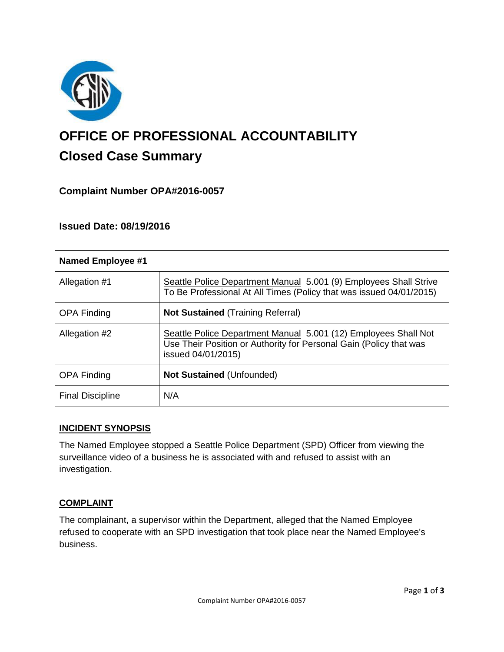

# **OFFICE OF PROFESSIONAL ACCOUNTABILITY Closed Case Summary**

# **Complaint Number OPA#2016-0057**

# **Issued Date: 08/19/2016**

| <b>Named Employee #1</b> |                                                                                                                                                             |
|--------------------------|-------------------------------------------------------------------------------------------------------------------------------------------------------------|
| Allegation #1            | Seattle Police Department Manual 5.001 (9) Employees Shall Strive<br>To Be Professional At All Times (Policy that was issued 04/01/2015)                    |
| <b>OPA Finding</b>       | <b>Not Sustained (Training Referral)</b>                                                                                                                    |
| Allegation #2            | Seattle Police Department Manual 5.001 (12) Employees Shall Not<br>Use Their Position or Authority for Personal Gain (Policy that was<br>issued 04/01/2015) |
| <b>OPA Finding</b>       | <b>Not Sustained (Unfounded)</b>                                                                                                                            |
| <b>Final Discipline</b>  | N/A                                                                                                                                                         |

#### **INCIDENT SYNOPSIS**

The Named Employee stopped a Seattle Police Department (SPD) Officer from viewing the surveillance video of a business he is associated with and refused to assist with an investigation.

#### **COMPLAINT**

The complainant, a supervisor within the Department, alleged that the Named Employee refused to cooperate with an SPD investigation that took place near the Named Employee's business.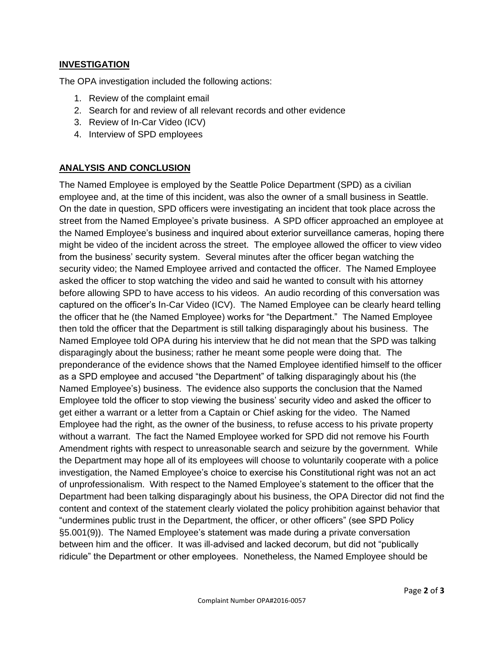### **INVESTIGATION**

The OPA investigation included the following actions:

- 1. Review of the complaint email
- 2. Search for and review of all relevant records and other evidence
- 3. Review of In-Car Video (ICV)
- 4. Interview of SPD employees

### **ANALYSIS AND CONCLUSION**

The Named Employee is employed by the Seattle Police Department (SPD) as a civilian employee and, at the time of this incident, was also the owner of a small business in Seattle. On the date in question, SPD officers were investigating an incident that took place across the street from the Named Employee's private business. A SPD officer approached an employee at the Named Employee's business and inquired about exterior surveillance cameras, hoping there might be video of the incident across the street. The employee allowed the officer to view video from the business' security system. Several minutes after the officer began watching the security video; the Named Employee arrived and contacted the officer. The Named Employee asked the officer to stop watching the video and said he wanted to consult with his attorney before allowing SPD to have access to his videos. An audio recording of this conversation was captured on the officer's In-Car Video (ICV). The Named Employee can be clearly heard telling the officer that he (the Named Employee) works for "the Department." The Named Employee then told the officer that the Department is still talking disparagingly about his business. The Named Employee told OPA during his interview that he did not mean that the SPD was talking disparagingly about the business; rather he meant some people were doing that. The preponderance of the evidence shows that the Named Employee identified himself to the officer as a SPD employee and accused "the Department" of talking disparagingly about his (the Named Employee's) business. The evidence also supports the conclusion that the Named Employee told the officer to stop viewing the business' security video and asked the officer to get either a warrant or a letter from a Captain or Chief asking for the video. The Named Employee had the right, as the owner of the business, to refuse access to his private property without a warrant. The fact the Named Employee worked for SPD did not remove his Fourth Amendment rights with respect to unreasonable search and seizure by the government. While the Department may hope all of its employees will choose to voluntarily cooperate with a police investigation, the Named Employee's choice to exercise his Constitutional right was not an act of unprofessionalism. With respect to the Named Employee's statement to the officer that the Department had been talking disparagingly about his business, the OPA Director did not find the content and context of the statement clearly violated the policy prohibition against behavior that "undermines public trust in the Department, the officer, or other officers" (see SPD Policy §5.001(9)). The Named Employee's statement was made during a private conversation between him and the officer. It was ill-advised and lacked decorum, but did not "publically ridicule" the Department or other employees. Nonetheless, the Named Employee should be